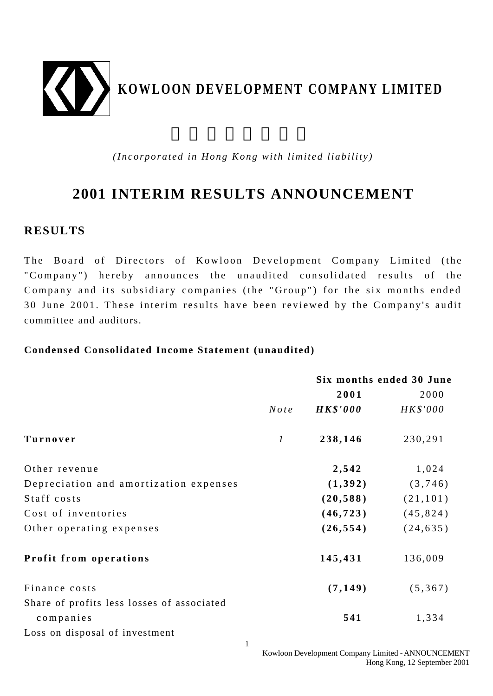

*(Incorporated in Hong Kong with limited liability)*

# **2001 INTERIM RESULTS ANNOUNCEMENT**

### **RESULTS**

The Board of Directors of Kowloon Development Company Limited (the "Company") hereby announces the unaudited consolidated results of the Company and its subsidiary companies (the "Group") for the six months ended 30 June 2001. These interim results have been reviewed by the Company's audit committee and auditors.

### **Condensed Consolidated Income Statement (unaudited)**

|                                            |                  | Six months ended 30 June |           |  |
|--------------------------------------------|------------------|--------------------------|-----------|--|
|                                            |                  | 2001                     | 2000      |  |
|                                            | Note             | <b>HK\$'000</b>          | HK\$'000  |  |
| Turnover                                   | $\boldsymbol{l}$ | 238,146                  | 230,291   |  |
| Other revenue                              |                  | 2,542                    | 1,024     |  |
| Depreciation and amortization expenses     |                  | (1, 392)                 | (3,746)   |  |
| Staff costs                                |                  | (20, 588)                | (21, 101) |  |
| Cost of inventories                        |                  | (46, 723)                | (45, 824) |  |
| Other operating expenses                   |                  | (26, 554)                | (24, 635) |  |
| Profit from operations                     |                  | 145,431                  | 136,009   |  |
| Finance costs                              |                  | (7, 149)                 | (5, 367)  |  |
| Share of profits less losses of associated |                  |                          |           |  |
| companies                                  |                  | 541                      | 1,334     |  |
| Loss on disposal of investment             |                  |                          |           |  |

Kowloon Development Company Limited - ANNOUNCEMENT Hong Kong, 12 September 2001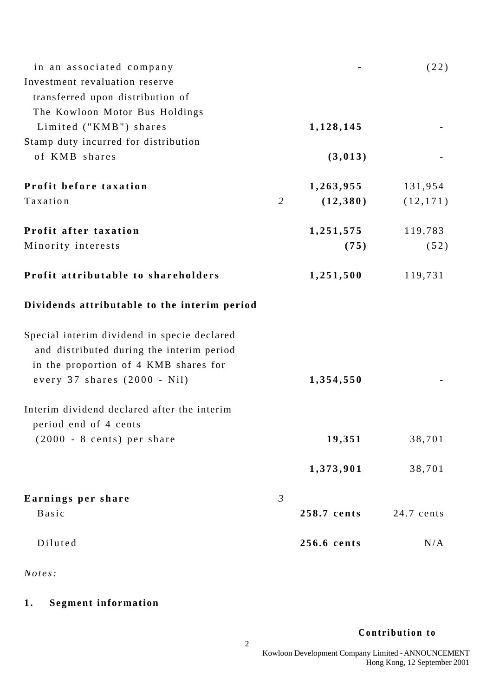| in an associated company                     |                |             | (22)       |
|----------------------------------------------|----------------|-------------|------------|
| Investment revaluation reserve               |                |             |            |
| transferred upon distribution of             |                |             |            |
| The Kowloon Motor Bus Holdings               |                |             |            |
| Limited ("KMB") shares                       |                | 1,128,145   |            |
| Stamp duty incurred for distribution         |                |             |            |
| of KMB shares                                |                | (3, 013)    |            |
| Profit before taxation                       |                | 1,263,955   | 131,954    |
| Taxation                                     | $\overline{2}$ | (12, 380)   | (12, 171)  |
| Profit after taxation                        |                | 1,251,575   | 119,783    |
| Minority interests                           |                | (75)        | (52)       |
| Profit attributable to shareholders          |                | 1,251,500   | 119,731    |
| Dividends attributable to the interim period |                |             |            |
| Special interim dividend in specie declared  |                |             |            |
| and distributed during the interim period    |                |             |            |
| in the proportion of 4 KMB shares for        |                |             |            |
| every 37 shares (2000 - Nil)                 |                | 1,354,550   |            |
| Interim dividend declared after the interim  |                |             |            |
| period end of 4 cents                        |                |             |            |
| $(2000 - 8 \text{ cents})$ per share         |                | 19,351      | 38,701     |
|                                              |                | 1,373,901   | 38,701     |
| Earnings per share                           | $\mathfrak{Z}$ |             |            |
| Basic                                        |                | 258.7 cents | 24.7 cents |
| Diluted                                      |                | 256.6 cents | N/A        |
|                                              |                |             |            |

*Notes:*

## **1 . Segment information**

### **Contribution to**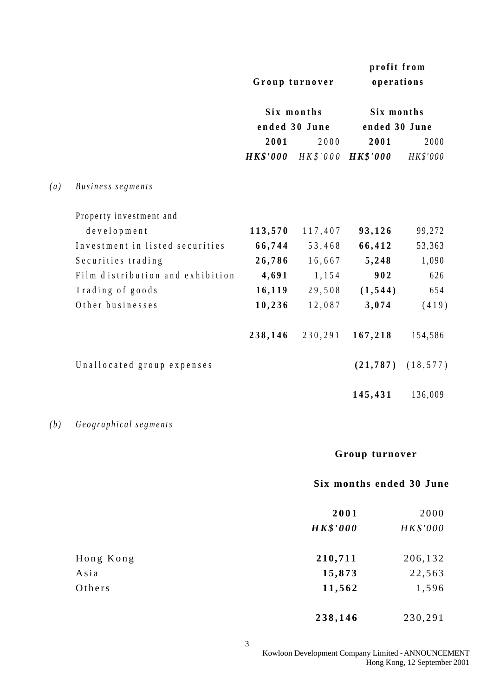|     |                                  |                 | Group turnover | profit from<br>operations |           |
|-----|----------------------------------|-----------------|----------------|---------------------------|-----------|
|     |                                  | Six months      |                | Six months                |           |
|     |                                  |                 | ended 30 June  | ended 30 June             |           |
|     |                                  | 2001            | 2000           | 2001                      | 2000      |
|     |                                  | <b>HK\$'000</b> | $H K$ \$'000   | <b>HK\$'000</b>           | HK\$'000  |
| (a) | Business segments                |                 |                |                           |           |
|     | Property investment and          |                 |                |                           |           |
|     | development                      | 113,570         | 117,407        | 93,126                    | 99,272    |
|     | Investment in listed securities  | 66,744          | 53,468         | 66,412                    | 53,363    |
|     | Securities trading               | 26,786          | 16,667         | 5,248                     | 1,090     |
|     | Film distribution and exhibition | 4,691           | 1,154          | 902                       | 626       |
|     | Trading of goods                 | 16,119          | 29,508         | (1, 544)                  | 654       |
|     | Other businesses                 | 10,236          | 12,087         | 3,074                     | (419)     |
|     |                                  | 238,146         | 230,291        | 167,218                   | 154,586   |
|     | Unallocated group expenses       |                 |                | (21, 787)                 | (18, 577) |
|     |                                  |                 |                | 145,431                   | 136,009   |
| (b) | Geographical segments            |                 |                |                           |           |

## **Group turnover**

### **Six months ended 30 June**

|           | 2001            | 2000     |
|-----------|-----------------|----------|
|           | <b>HK\$'000</b> | HK\$'000 |
|           |                 |          |
| Hong Kong | 210,711         | 206,132  |
| Asia      | 15,873          | 22,563   |
| Others    | 11,562          | 1,596    |
|           | 238,146         | 230,291  |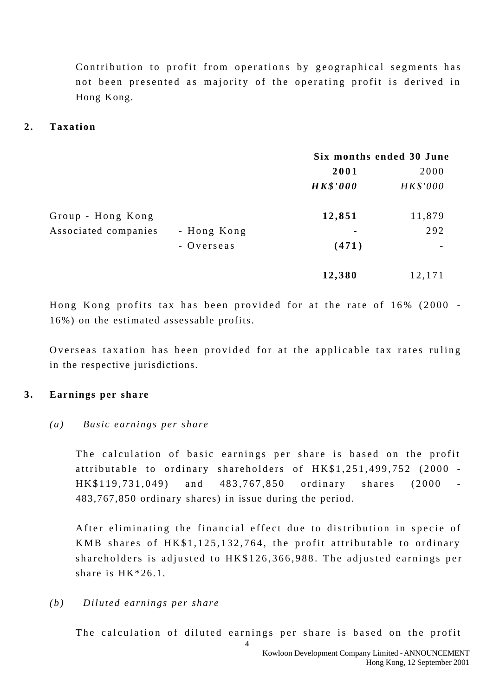Contribution to profit from operations by geographical segments has not been presented as majority of the operating profit is derived in Hong Kong.

#### 2. **Taxation**

|                      |             |                 | Six months ended 30 June |
|----------------------|-------------|-----------------|--------------------------|
|                      |             | 2001            | 2000                     |
|                      |             | <b>HK\$'000</b> | HK\$'000                 |
| Group - Hong Kong    |             | 12,851          | 11,879                   |
| Associated companies | - Hong Kong | $\blacksquare$  | 292                      |
|                      | - Overseas  | (471)           |                          |
|                      |             | 12,380          | 12,171                   |

Hong Kong profits tax has been provided for at the rate of 16% (2000 - 16%) on the estimated assessable profits.

Overseas taxation has been provided for at the applicable tax rates ruling in the respective jurisdictions.

#### **3 . Earnings per sha re**

#### *(a) Basic earnings per share*

The calculation of basic earnings per share is based on the profit attributable to ordinary shareholders of HK\$1,251,499,752 (2000 - HK\$119,731,049) and 483,767,850 ordinary shares (2000 - 483,767,850 ordinary shares) in issue during the period.

After eliminating the financial effect due to distribution in specie of KMB shares of HK\$1,125,132,764, the profit attributable to ordinary shareholders is adjusted to HK\$126,366,988. The adjusted earnings per share is HK\*26.1.

### *(b) Diluted earnings per share*

The calculation of diluted earnings per share is based on the profit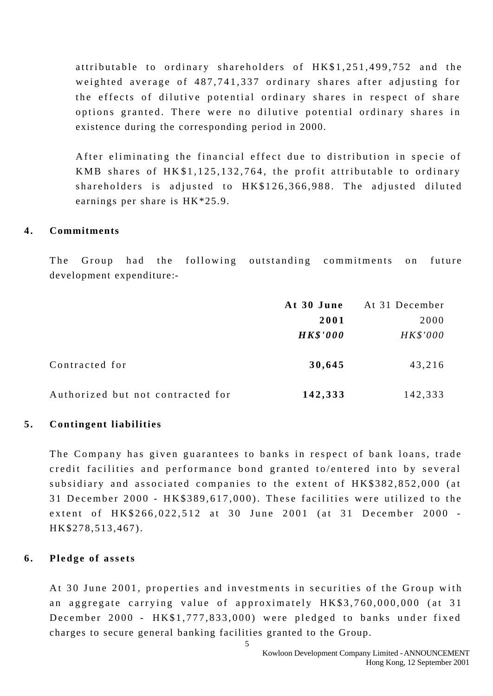attributable to ordinary shareholders of HK\$1,251,499,752 and the weighted average of 487,741,337 ordinary shares after adjusting for the effects of dilutive potential ordinary shares in respect of share options granted. There were no dilutive potential ordinary shares in existence during the corresponding period in 2000.

After eliminating the financial effect due to distribution in specie of KMB shares of HK \$1,125,132,764, the profit attributable to ordinary shareholders is adjusted to HK\$126,366,988. The adjusted diluted earnings per share is HK\*25.9.

#### **4 . Commitments**

The Group had the following outstanding commitments on future development expenditure:-

|                                   | At 30 June      | At 31 December |
|-----------------------------------|-----------------|----------------|
|                                   | 2001            | 2000           |
|                                   | <b>HK\$'000</b> | HK\$'000       |
| Contracted for                    | 30,645          | 43,216         |
| Authorized but not contracted for | 142,333         | 142,333        |

#### **5 . Contingent liabilities**

The Company has given guarantees to banks in respect of bank loans, trade credit facilities and performance bond granted to/entered into by several subsidiary and associated companies to the extent of HK\$382,852,000 (at 31 December 2000 - HK\$389,617,000). These facilities were utilized to the extent of HK\$266,022,512 at 30 June 2001 (at 31 December 2000 - HK\$278,513,467).

#### **6 . Pledge of assets**

At 30 June 2001, properties and investments in securities of the Group with an aggregate carrying value of approximately HK\$3,760,000,000 (at 31 December 2000 - HK\$1,777,833,000) were pledged to banks under fixed charges to secure general banking facilities granted to the Group.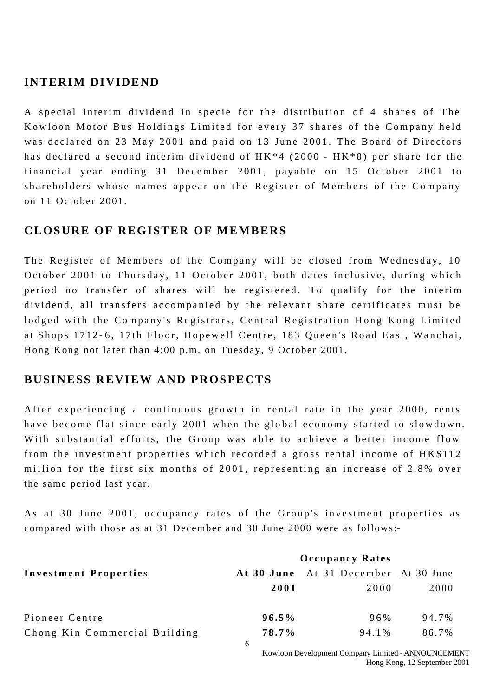### **INTERIM DIVIDEND**

A special interim dividend in specie for the distribution of 4 shares of The Kowloon Motor Bus Holdings Limited for every 37 shares of the Company held was declared on 23 May 2001 and paid on 13 June 2001. The Board of Directors has declared a second interim dividend of HK\*4 (2000 - HK\*8) per share for the financial year ending 31 December 2001, payable on 15 October 2001 to shareholders whose names appear on the Register of Members of the Company on 11 October 2001.

### **CLOSURE OF REGISTER OF MEMBERS**

The Register of Members of the Company will be closed from Wednesday, 10 October 2001 to Thursday, 11 October 2001, both dates inclusive, during which period no transfer of shares will be registered. To qualify for the interim dividend, all transfers accompanied by the relevant share certificates must be lodged with the Company's Registrars, Central Registration Hong Kong Limited at Shops 1712 - 6, 17th Floor, Hopewell Centre, 183 Queen's Road East, Wanchai, Hong Kong not later than 4:00 p.m. on Tuesday, 9 October 2001.

### **BUSINESS REVIEW AND PROSPECTS**

After experiencing a continuous growth in rental rate in the year 2000, rents have become flat since early 2001 when the global economy started to slowdown. With substantial efforts, the Group was able to achieve a better income flow from the investment properties which recorded a gross rental income of HK\$112 million for the first six months of 2001, representing an increase of 2.8% over the same period last year.

As at 30 June 2001, occupancy rates of the Group's investment properties as compared with those as at 31 December and 30 June 2000 were as follows:-

|                               | <b>Occupancy Rates</b> |                                      |       |  |
|-------------------------------|------------------------|--------------------------------------|-------|--|
| <b>Investment Properties</b>  |                        | At 30 June At 31 December At 30 June |       |  |
|                               | 2001                   | 2000                                 | 2000  |  |
| Pioneer Centre                | $96.5\%$               | 96%                                  | 94.7% |  |
| Chong Kin Commercial Building | 78.7%                  | 94.1%                                | 86.7% |  |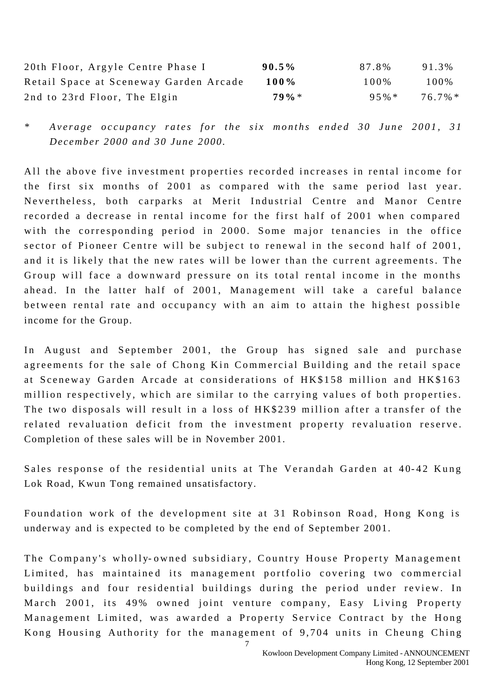| 20th Floor, Argyle Centre Phase I      | $90.5\%$ | 87.8%    | 91.3%   |
|----------------------------------------|----------|----------|---------|
| Retail Space at Sceneway Garden Arcade | 100%     | 100\%    | 100%    |
| 2nd to 23rd Floor, The Elgin           | $79\% *$ | $95\% *$ | 76.7% * |

*\* Average occupancy rates for the six months ended 30 June 2001, 31 December 2000 and 30 June 2000.*

All the above five investment properties recorded increases in rental income for the first six months of 2001 as compared with the same period last year. Nevertheless, both carparks at Merit Industrial Centre and Manor Centre recorded a decrease in rental income for the first half of 2001 when compared with the corresponding period in 2000. Some major tenancies in the office sector of Pioneer Centre will be subject to renewal in the second half of 2001, and it is likely that the new rates will be lower than the current agreements. The Group will face a downward pressure on its total rental income in the months ahead. In the latter half of 2001, Management will take a careful balance between rental rate and occupancy with an aim to attain the highest possible income for the Group.

In August and September 2001, the Group has signed sale and purchase agreements for the sale of Chong Kin Commercial Building and the retail space at Sceneway Garden Arcade at considerations of HK\$158 million and HK\$163 million respectively, which are similar to the carrying values of both properties. The two disposals will result in a loss of HK\$239 million after a transfer of the related revaluation deficit from the investment property revaluation reserve. Completion of these sales will be in November 2001.

Sales response of the residential units at The Verandah Garden at 40-42 Kung Lok Road, Kwun Tong remained unsatisfactory.

Foundation work of the development site at 31 Robinson Road, Hong Kong is underway and is expected to be completed by the end of September 2001.

The Company's wholly- owned subsidiary, Country House Property Management Limited, has maintained its management portfolio covering two commercial buildings and four residential buildings during the period under review. In March 2001, its 49% owned joint venture company, Easy Living Property Management Limited, was awarded a Property Service Contract by the Hong Kong Housing Authority for the management of 9,704 units in Cheung Ching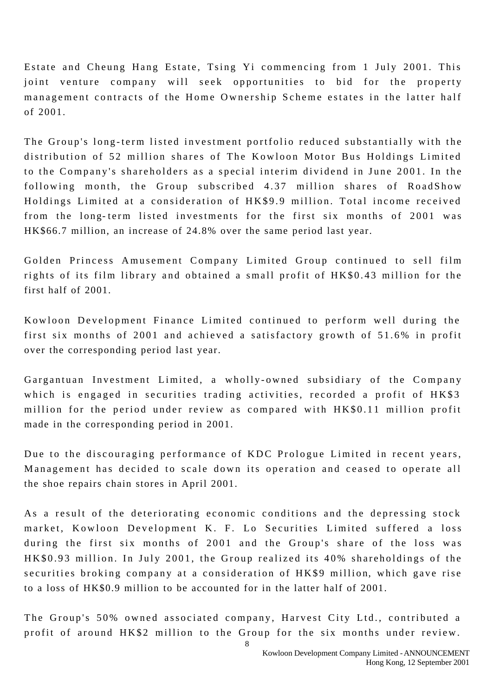Estate and Cheung Hang Estate, Tsing Yi commencing from 1 July 2001. This joint venture company will seek opportunities to bid for the property management contracts of the Home Ownership Scheme estates in the latter half of 2001.

The Group's long-term listed investment portfolio reduced substantially with the distribution of 52 million shares of The Kowloon Motor Bus Holdings Limited to the Company's shareholders as a special interim dividend in June 2001. In the following month, the Group subscribed 4.37 million shares of RoadShow Holdings Limited at a consideration of HK\$9.9 million. Total income received from the long- term listed investments for the first six months of 2001 was HK\$66.7 million, an increase of 24.8% over the same period last year.

Golden Princess Amusement Company Limited Group continued to sell film rights of its film library and obtained a small profit of HK\$0.43 million for the first half of 2001.

K owloon Development Finance Limited continued to perform well during the first six months of 2001 and achieved a satisfactory growth of 51.6% in profit over the corresponding period last year.

Gargantuan Investment Limited, a wholly - owned subsidiary of the Company which is engaged in securities trading activities, recorded a profit of HK\$3 million for the period under review as compared with HK\$0.11 million profit made in the corresponding period in 2001.

Due to the discouraging performance of KDC Prologue Limited in recent years, Management has decided to scale down its operation and ceased to operate all the shoe repairs chain stores in April 2001.

As a result of the deteriorating economic conditions and the depressing stock market, Kowloon Development K. F. Lo Securities Limited suffered a loss during the first six months of 2001 and the Group's share of the loss was HK\$0.93 million. In July 2001, the Group realized its 40% shareholdings of the securities broking company at a consideration of HK\$9 million, which gave rise to a loss of HK\$0.9 million to be accounted for in the latter half of 2001.

The Group's 50% owned associated company, Harvest City Ltd., contributed a profit of around HK\$2 million to the Group for the six months under review.

> Kowloon Development Company Limited - ANNOUNCEMENT Hong Kong, 12 September 2001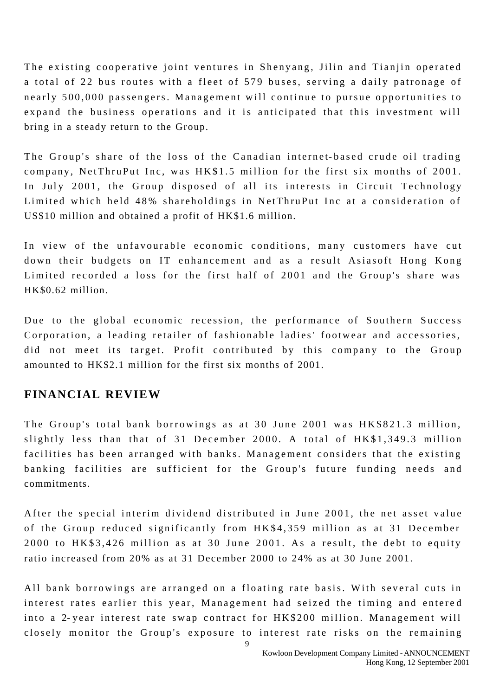The existing cooperative joint ventures in Shenyang, Jilin and Tianjin operated a total of 22 bus routes with a fleet of 579 buses, serving a daily patronage of nearly 500,000 passengers. Management will continue to pursue opportunities to expand the business operations and it is anticipated that this investment will bring in a steady return to the Group.

The Group's share of the loss of the Canadian internet- based crude oil trading company, NetThruPut Inc, was HK\$1.5 million for the first six months of 2001. In July 2001, the Group disposed of all its interests in Circuit Technology Limited which held 48% shareholdings in NetThruPut Inc at a consideration of US\$10 million and obtained a profit of HK\$1.6 million.

In view of the unfavourable economic conditions, many customers have cut down their budgets on IT enhancement and as a result Asiasoft Hong Kong Limited recorded a loss for the first half of 2001 and the Group's share was HK\$0.62 million.

Due to the global economic recession, the performance of Southern Success Corporation, a leading retailer of fashionable ladies' footwear and accessories, did not meet its target. Profit contributed by this company to the Group amounted to HK\$2.1 million for the first six months of 2001.

### **FINANCIAL REVIEW**

The Group's total bank borrowings as at 30 June 2001 was HK\$821.3 million, slightly less than that of 31 December 2000. A total of HK\$1,349.3 million facilities has been arranged with banks. Management considers that the existing banking facilities are sufficient for the Group's future funding needs and commitments.

After the special interim dividend distributed in June 2001, the net asset value of the Group reduced significantly from HK\$4,359 million as at 31 December 2000 to HK\$3,426 million as at 30 June 2001. As a result, the debt to equity ratio increased from 20% as at 31 December 2000 to 24% as at 30 June 2001.

All bank borrowings are arranged on a floating rate basis. With several cuts in interest rates earlier this year, Management had seized the timing and entere d into a 2- year interest rate swap contract for HK\$200 million. Management will closely monitor the Group's exposure to interest rate risks on the remaining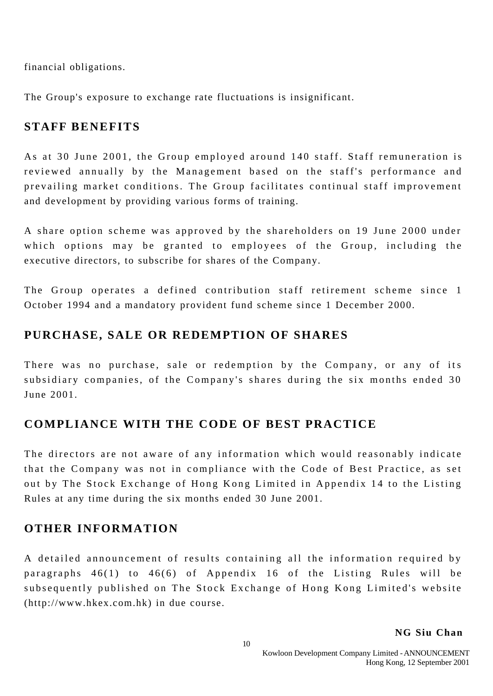financial obligations.

The Group's exposure to exchange rate fluctuations is insignificant.

## **STAFF BENEFITS**

As at 30 June 2001, the Group employed around 140 staff. Staff remuneration is reviewed annually by the Management based on the staff's performance and prevailing market conditions. The Group facilitates continual staff improvement and development by providing various forms of training.

A share option scheme was approved by the shareholders on 19 June 2000 under which options may be granted to employees of the Group, including the executive directors, to subscribe for shares of the Company.

The Group operates a defined contribution staff retirement scheme since 1 October 1994 and a mandatory provident fund scheme since 1 December 2000.

## **PURCHASE, SALE OR REDEMPTION OF SHARES**

There was no purchase, sale or redemption by the Company, or any of its subsidiary companies, of the Company's shares during the six months ended 30 June 2001.

## **COMPLIANCE WITH THE CODE OF BEST PRACTICE**

The directors are not aware of any information which would reasonably indicate that the Company was not in compliance with the Code of Best Practice, as set out by The Stock Exchange of Hong Kong Limited in Appendix 14 to the Listing Rules at any time during the six months ended 30 June 2001.

## **OTHER INFORMATION**

A detailed announcement of results containing all the information required by paragraphs 46(1) to 46(6) of Appendix 16 of the Listing Rules will be subsequently published on The Stock Exchange of Hong Kong Limited's website (http://www.hkex.com.hk) in due course.